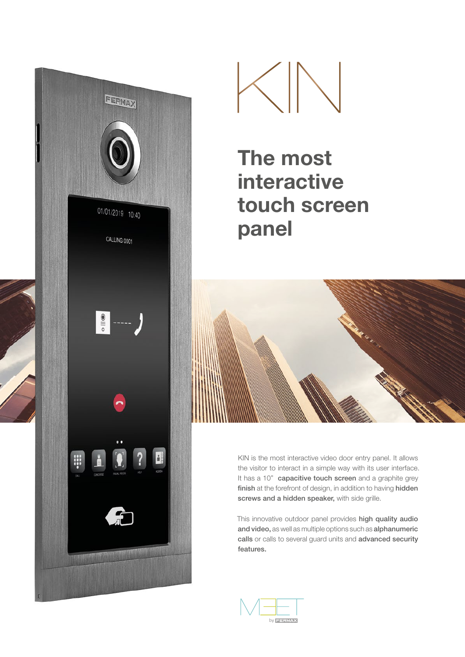



# The most interactive touch screen panel



KIN is the most interactive video door entry panel. It allows the visitor to interact in a simple way with its user interface. It has a 10" capacitive touch screen and a graphite grey finish at the forefront of design, in addition to having hidden screws and a hidden speaker, with side grille.

This innovative outdoor panel provides high quality audio and video, as well as multiple options such as alphanumeric calls or calls to several guard units and advanced security features.